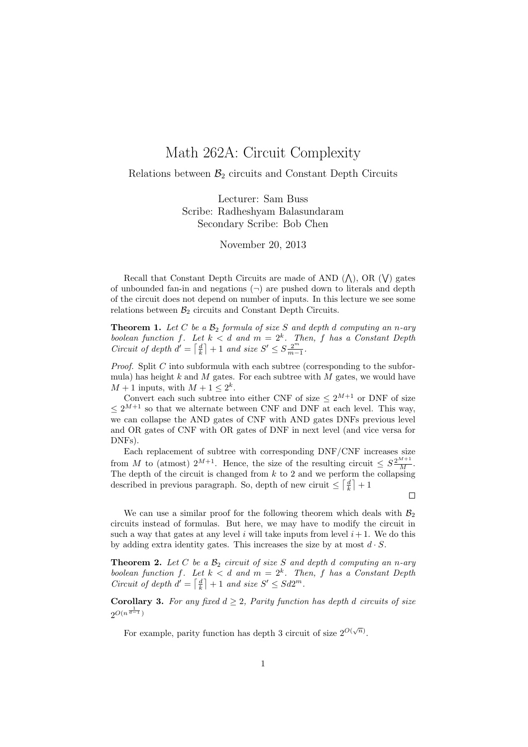## Math 262A: Circuit Complexity

Relations between  $\mathcal{B}_2$  circuits and Constant Depth Circuits

Lecturer: Sam Buss Scribe: Radheshyam Balasundaram Secondary Scribe: Bob Chen

November 20, 2013

Recall that Constant Depth Circuits are made of AND  $(\wedge)$ , OR  $(\vee)$  gates of unbounded fan-in and negations  $(\neg)$  are pushed down to literals and depth of the circuit does not depend on number of inputs. In this lecture we see some relations between  $\mathcal{B}_2$  circuits and Constant Depth Circuits.

**Theorem 1.** Let C be a  $\mathcal{B}_2$  formula of size S and depth d computing an n-ary boolean function f. Let  $k < d$  and  $m = 2<sup>k</sup>$ . Then, f has a Constant Depth Circuit of depth  $d' = \lceil \frac{d}{k} \rceil + 1$  and size  $S' \leq S \frac{2^m}{m-1}$ .

*Proof.* Split C into subformula with each subtree (corresponding to the subformula) has height  $k$  and  $M$  gates. For each subtree with  $M$  gates, we would have  $M + 1$  inputs, with  $M + 1 \leq 2^k$ .

Convert each such subtree into either CNF of size  $\leq 2^{M+1}$  or DNF of size  $\leq 2^{M+1}$  so that we alternate between CNF and DNF at each level. This way, we can collapse the AND gates of CNF with AND gates DNFs previous level and OR gates of CNF with OR gates of DNF in next level (and vice versa for DNFs).

Each replacement of subtree with corresponding DNF/CNF increases size from M to (atmost)  $2^{M+1}$ . Hence, the size of the resulting circuit  $\leq S \frac{2^{M+1}}{M}$ . The depth of the circuit is changed from  $k$  to 2 and we perform the collapsing described in previous paragraph. So, depth of new ciruit  $\leq \lceil \frac{d}{k} \rceil + 1$ 

 $\Box$ 

We can use a similar proof for the following theorem which deals with  $\mathcal{B}_2$ circuits instead of formulas. But here, we may have to modify the circuit in such a way that gates at any level i will take inputs from level  $i+1$ . We do this by adding extra identity gates. This increases the size by at most  $d \cdot S$ .

**Theorem 2.** Let C be a  $\mathcal{B}_2$  circuit of size S and depth d computing an n-ary boolean function f. Let  $k < d$  and  $m = 2<sup>k</sup>$ . Then, f has a Constant Depth Circuit of depth  $d' = \lceil \frac{d}{k} \rceil + 1$  and size  $S' \leq Sd2^m$ .

**Corollary 3.** For any fixed  $d \geq 2$ , Parity function has depth d circuits of size  $2^{O(n^{\frac{1}{d-1}})}$ 

For example, parity function has depth 3 circuit of size  $2^{O(\sqrt{n})}$ .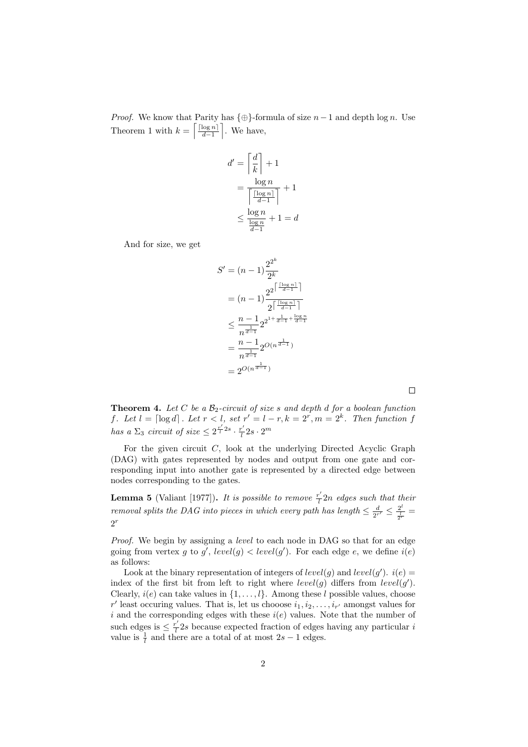*Proof.* We know that Parity has  $\{\oplus\}$ -formula of size  $n-1$  and depth log n. Use Theorem 1 with  $k = \left\lceil \frac{\lceil \log n \rceil}{d-1} \right\rceil$  $\left[\frac{\log n}{d-1}\right]$ . We have,

$$
d' = \left\lceil \frac{d}{k} \right\rceil + 1
$$
  
= 
$$
\frac{\log n}{\left\lceil \frac{\lceil \log n \rceil}{d - 1} \right\rceil} + 1
$$
  

$$
\leq \frac{\log n}{\frac{\log n}{d - 1}} + 1 = d
$$

And for size, we get

$$
S' = (n - 1)\frac{2^{2^k}}{2^k}
$$
  
=  $(n - 1)\frac{2^{2^{\left\lceil \frac{\lceil \log n \rceil}{d-1} \right\rceil}}}{2^{\left\lceil \frac{\lceil \log n \rceil}{d-1} \right\rceil}}$   
 $\leq \frac{n - 1}{n^{\frac{1}{d-1}}} 2^{2^{1 + \frac{1}{d-1} + \frac{\log n}{d-1}}}$   
=  $\frac{n - 1}{n^{\frac{1}{d-1}}} 2^{O(n^{\frac{1}{d-1}})}$   
=  $2^{O(n^{\frac{1}{d-1}})}$ 

**Theorem 4.** Let C be a  $\mathcal{B}_2$ -circuit of size s and depth d for a boolean function f. Let  $l = \lceil \log d \rceil$ . Let  $r < l$ , set  $r' = l - r$ ,  $k = 2^r$ ,  $m = 2^k$ . Then function f has a  $\Sigma_3$  circuit of size  $\leq 2^{\frac{r'}{l}2s} \cdot \frac{r'}{l}$  $\frac{c'}{l}2s\cdot 2^m$ 

For the given circuit  $C$ , look at the underlying Directed Acyclic Graph (DAG) with gates represented by nodes and output from one gate and corresponding input into another gate is represented by a directed edge between nodes corresponding to the gates.

**Lemma 5** (Valiant [1977]). It is possible to remove  $\frac{r'}{l}$  $\frac{d}{dt}$ 2n edges such that their removal splits the DAG into pieces in which every path has length  $\leq \frac{d}{dt}$  $\frac{d}{2^{r'}} \leq \frac{2^l}{\frac{l}{2^l}}$  $\frac{2^r}{\frac{l}{2^r}} =$  $2^r$ 

Proof. We begin by assigning a *level* to each node in DAG so that for an edge going from vertex g to g',  $level(g) < level(g')$ . For each edge e, we define  $i(e)$ as follows:

Look at the binary representation of integers of  $level(g)$  and  $level(g')$ .  $i(e)$ index of the first bit from left to right where  $level(g)$  differs from  $level(g')$ . Clearly,  $i(e)$  can take values in  $\{1, \ldots, l\}$ . Among these l possible values, choose r' least occuring values. That is, let us chooose  $i_1, i_2, \ldots, i_{r'}$  amongst values for i and the corresponding edges with these  $i(e)$  values. Note that the number of such edges is  $\leq \frac{r'}{l}$  $\frac{1}{l}$  2s because expected fraction of edges having any particular i value is  $\frac{1}{l}$  and there are a total of at most  $2s - 1$  edges.

 $\Box$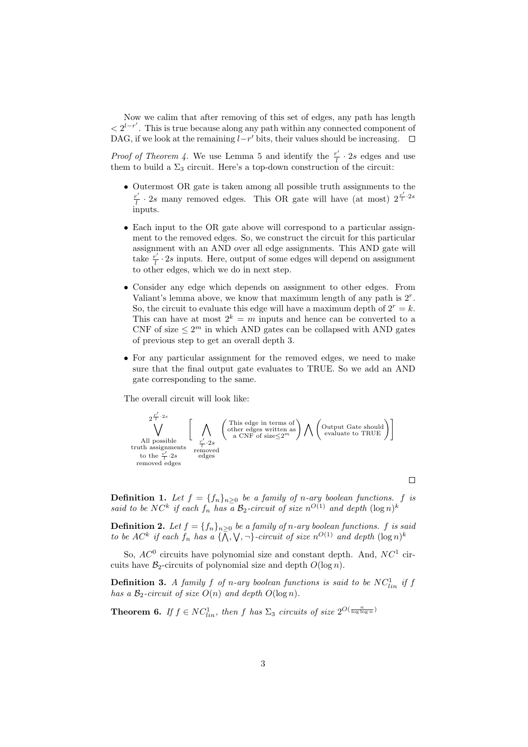Now we calim that after removing of this set of edges, any path has length  $\langle 2^{l-r'}\rangle$ . This is true because along any path within any connected component of DAG, if we look at the remaining  $l-r'$  bits, their values should be increasing.  $\Box$ 

*Proof of Theorem 4.* We use Lemma 5 and identify the  $\frac{r'}{l}$  $\frac{r'}{l} \cdot 2s$  edges and use them to build a  $\Sigma_3$  circuit. Here's a top-down construction of the circuit:

- Outermost OR gate is taken among all possible truth assignments to the  $\frac{r'}{r}$  $\frac{r'}{l}$  · 2s many removed edges. This OR gate will have (at most)  $2^{\frac{r'}{l} \cdot 2s}$ inputs.
- Each input to the OR gate above will correspond to a particular assignment to the removed edges. So, we construct the circuit for this particular assignment with an AND over all edge assignments. This AND gate will take  $\frac{r'}{l}$  $\frac{1}{l} \cdot 2s$  inputs. Here, output of some edges will depend on assignment to other edges, which we do in next step.
- Consider any edge which depends on assignment to other edges. From Valiant's lemma above, we know that maximum length of any path is  $2<sup>r</sup>$ . So, the circuit to evaluate this edge will have a maximum depth of  $2^r = k$ . This can have at most  $2^k = m$  inputs and hence can be converted to a CNF of size  $\leq 2^m$  in which AND gates can be collapsed with AND gates of previous step to get an overall depth 3.
- For any particular assignment for the removed edges, we need to make sure that the final output gate evaluates to TRUE. So we add an AND gate corresponding to the same.

The overall circuit will look like:



 $\Box$ 

**Definition 1.** Let  $f = \{f_n\}_{n\geq 0}$  be a family of n-ary boolean functions. f is said to be NC<sup>k</sup> if each  $f_n$  has a  $B_2$ -circuit of size  $n^{O(1)}$  and depth  $(\log n)^k$ 

**Definition 2.** Let  $f = \{f_n\}_{n\geq 0}$  be a family of n-ary boolean functions. f is said to be  $AC^k$  if each  $f_n$  has a  $\{\overline{\wedge}, \vee, \neg\}$ -circuit of size  $n^{O(1)}$  and depth  $(\log n)^k$ 

So,  $AC^0$  circuits have polynomial size and constant depth. And,  $NC^1$  circuits have  $\mathcal{B}_2$ -circuits of polynomial size and depth  $O(\log n)$ .

**Definition 3.** A family f of n-ary boolean functions is said to be  $NC_{lin}^1$  if f has a  $\mathcal{B}_2$ -circuit of size  $O(n)$  and depth  $O(\log n)$ .

**Theorem 6.** If  $f \in NC^1_{lin}$ , then f has  $\Sigma_3$  circuits of size  $2^{O(\frac{n}{\log \log n})}$